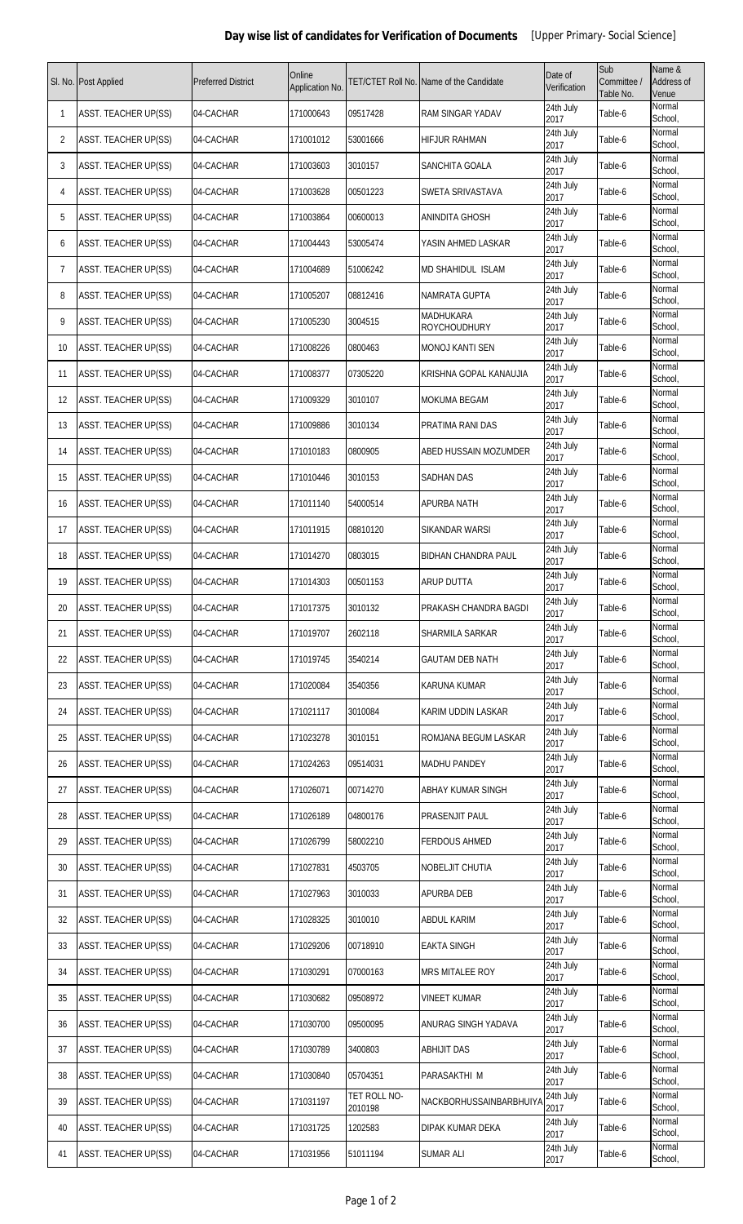|                | Sl. No. Post Applied        | <b>Preferred District</b> | Online<br>Application No. |                         | <b>FET/CTET Roll No. Name of the Candidate</b> | Date of<br>Verification | Sub<br>Committee /<br>Table No. | Name &<br>Address of<br>Venue |
|----------------|-----------------------------|---------------------------|---------------------------|-------------------------|------------------------------------------------|-------------------------|---------------------------------|-------------------------------|
| 1              | <b>ASST. TEACHER UP(SS)</b> | 04-CACHAR                 | 171000643                 | 09517428                | <b>RAM SINGAR YADAV</b>                        | 24th July<br>2017       | Table-6                         | Normal<br>School,             |
| 2              | <b>ASST. TEACHER UP(SS)</b> | 04-CACHAR                 | 171001012                 | 53001666                | <b>HIFJUR RAHMAN</b>                           | 24th July<br>2017       | Table-6                         | Normal<br>School,             |
| 3              | <b>ASST. TEACHER UP(SS)</b> | 04-CACHAR                 | 171003603                 | 3010157                 | SANCHITA GOALA                                 | 24th July<br>2017       | Table-6                         | Normal<br>School,             |
| $\overline{4}$ | <b>ASST. TEACHER UP(SS)</b> | 04-CACHAR                 | 171003628                 | 00501223                | SWETA SRIVASTAVA                               | 24th July<br>2017       | Table-6                         | Normal<br>School,             |
| 5              | <b>ASST. TEACHER UP(SS)</b> | 04-CACHAR                 | 171003864                 | 00600013                | <b>ANINDITA GHOSH</b>                          | 24th July<br>2017       | Table-6                         | Normal<br>School,             |
| 6              | <b>ASST. TEACHER UP(SS)</b> | 04-CACHAR                 | 171004443                 | 53005474                | YASIN AHMED LASKAR                             | 24th July<br>2017       | Table-6                         | Normal<br>School,             |
| 7              | <b>ASST. TEACHER UP(SS)</b> | 04-CACHAR                 | 171004689                 | 51006242                | <b>MD SHAHIDUL ISLAM</b>                       | 24th July<br>2017       | Table-6                         | Normal<br>School,             |
| 8              | <b>ASST. TEACHER UP(SS)</b> | 04-CACHAR                 | 171005207                 | 08812416                | NAMRATA GUPTA                                  | 24th July<br>2017       | Table-6                         | Normal<br>School,             |
| 9              | <b>ASST. TEACHER UP(SS)</b> | 04-CACHAR                 | 171005230                 | 3004515                 | <b>MADHUKARA</b><br><b>ROYCHOUDHURY</b>        | 24th July<br>2017       | Table-6                         | Normal<br>School,             |
| 10             | <b>ASST. TEACHER UP(SS)</b> | 04-CACHAR                 | 171008226                 | 0800463                 | MONOJ KANTI SEN                                | 24th July<br>2017       | Table-6                         | Normal<br>School,             |
| 11             | ASST. TEACHER UP(SS)        | 04-CACHAR                 | 171008377                 | 07305220                | KRISHNA GOPAL KANAUJIA                         | 24th July<br>2017       | Table-6                         | Normal<br>School,             |
| 12             | <b>ASST. TEACHER UP(SS)</b> | 04-CACHAR                 | 171009329                 | 3010107                 | <b>MOKUMA BEGAM</b>                            | 24th July<br>2017       | Table-6                         | Normal<br>School,             |
| 13             | <b>ASST. TEACHER UP(SS)</b> | 04-CACHAR                 | 171009886                 | 3010134                 | PRATIMA RANI DAS                               | 24th July<br>2017       | Table-6                         | Normal<br>School,             |
| 14             | ASST. TEACHER UP(SS)        | 04-CACHAR                 | 171010183                 | 0800905                 | ABED HUSSAIN MOZUMDER                          | 24th July<br>2017       | Table-6                         | Normal<br>School,             |
| 15             | ASST. TEACHER UP(SS)        | 04-CACHAR                 | 171010446                 | 3010153                 | SADHAN DAS                                     | 24th July<br>2017       | Table-6                         | Normal<br>School,             |
| 16             | <b>ASST. TEACHER UP(SS)</b> | 04-CACHAR                 | 171011140                 | 54000514                | <b>APURBA NATH</b>                             | 24th July<br>2017       | Table-6                         | Normal<br>School,             |
| 17             | <b>ASST. TEACHER UP(SS)</b> | 04-CACHAR                 | 171011915                 | 08810120                | SIKANDAR WARSI                                 | 24th July<br>2017       | Table-6                         | Normal<br>School,             |
| 18             | <b>ASST. TEACHER UP(SS)</b> | 04-CACHAR                 | 171014270                 | 0803015                 | <b>BIDHAN CHANDRA PAUL</b>                     | 24th July<br>2017       | Table-6                         | Normal<br>School,             |
| 19             | <b>ASST. TEACHER UP(SS)</b> | 04-CACHAR                 | 171014303                 | 00501153                | <b>ARUP DUTTA</b>                              | 24th July<br>2017       | Table-6                         | Normal<br>School,             |
| 20             | ASST. TEACHER UP(SS)        | 04-CACHAR                 | 171017375                 | 3010132                 | PRAKASH CHANDRA BAGDI                          | 24th July<br>2017       | Table-6                         | Normal<br>School,             |
| 21             | <b>ASST. TEACHER UP(SS)</b> | 04-CACHAR                 | 171019707                 | 2602118                 | SHARMILA SARKAR                                | 24th July<br>2017       | Table-6                         | Normal<br>School,             |
| 22             | ASST. TEACHER UP(SS)        | 04-CACHAR                 | 171019745                 | 3540214                 | <b>GAUTAM DEB NATH</b>                         | 24th July<br>2017       | Table-6                         | Normal<br>School,             |
| 23             | <b>ASST. TEACHER UP(SS)</b> | 04-CACHAR                 | 171020084                 | 3540356                 | <b>KARUNA KUMAR</b>                            | 24th July<br>2017       | Table-6                         | Normal<br>School,             |
| 24             | <b>ASST. TEACHER UP(SS)</b> | 04-CACHAR                 | 171021117                 | 3010084                 | KARIM UDDIN LASKAR                             | 24th July<br>2017       | Table-6                         | Normal<br>School,             |
| 25             | <b>ASST. TEACHER UP(SS)</b> | 04-CACHAR                 | 171023278                 | 3010151                 | ROMJANA BEGUM LASKAR                           | 24th July<br>2017       | Table-6                         | Normal<br>School,             |
| 26             | <b>ASST. TEACHER UP(SS)</b> | 04-CACHAR                 | 171024263                 | 09514031                | <b>MADHU PANDEY</b>                            | 24th July<br>2017       | Table-6                         | Normal<br>School,             |
| 27             | ASST. TEACHER UP(SS)        | 04-CACHAR                 | 171026071                 | 00714270                | ABHAY KUMAR SINGH                              | 24th July<br>2017       | Table-6                         | Normal<br>School,             |
| 28             | <b>ASST. TEACHER UP(SS)</b> | 04-CACHAR                 | 171026189                 | 04800176                | PRASENJIT PAUL                                 | 24th July<br>2017       | Table-6                         | Normal<br>School,             |
| 29             | ASST. TEACHER UP(SS)        | 04-CACHAR                 | 171026799                 | 58002210                | <b>FERDOUS AHMED</b>                           | 24th July<br>2017       | Table-6                         | Normal<br>School,             |
| 30             | <b>ASST. TEACHER UP(SS)</b> | 04-CACHAR                 | 171027831                 | 4503705                 | <b>NOBELJIT CHUTIA</b>                         | 24th July<br>2017       | Table-6                         | Normal<br>School,             |
| 31             | <b>ASST. TEACHER UP(SS)</b> | 04-CACHAR                 | 171027963                 | 3010033                 | APURBA DEB                                     | 24th July<br>2017       | Table-6                         | Normal<br>School,             |
| 32             | <b>ASST. TEACHER UP(SS)</b> | 04-CACHAR                 | 171028325                 | 3010010                 | <b>ABDUL KARIM</b>                             | 24th July<br>2017       | Table-6                         | Normal<br>School,             |
| 33             | <b>ASST. TEACHER UP(SS)</b> | 04-CACHAR                 | 171029206                 | 00718910                | <b>EAKTA SINGH</b>                             | 24th July<br>2017       | Table-6                         | Normal<br>School,             |
| 34             | <b>ASST. TEACHER UP(SS)</b> | 04-CACHAR                 | 171030291                 | 07000163                | <b>MRS MITALEE ROY</b>                         | 24th July<br>2017       | Table-6                         | Normal<br>School,             |
| 35             | <b>ASST. TEACHER UP(SS)</b> | 04-CACHAR                 | 171030682                 | 09508972                | <b>VINEET KUMAR</b>                            | 24th July<br>2017       | Table-6                         | Normal<br>School,             |
| 36             | ASST. TEACHER UP(SS)        | 04-CACHAR                 | 171030700                 | 09500095                | ANURAG SINGH YADAVA                            | 24th July<br>2017       | Table-6                         | Normal<br>School,             |
| 37             | <b>ASST. TEACHER UP(SS)</b> | 04-CACHAR                 | 171030789                 | 3400803                 | <b>ABHIJIT DAS</b>                             | 24th July<br>2017       | Table-6                         | Normal<br>School,             |
| 38             | <b>ASST. TEACHER UP(SS)</b> | 04-CACHAR                 | 171030840                 | 05704351                | PARASAKTHI M                                   | 24th July<br>2017       | Table-6                         | Normal<br>School,             |
| 39             | <b>ASST. TEACHER UP(SS)</b> | 04-CACHAR                 | 171031197                 | TET ROLL NO-<br>2010198 | NACKBORHUSSAINBARBHUIYA                        | 24th July<br>2017       | Table-6                         | Normal<br>School,             |
| 40             | <b>ASST. TEACHER UP(SS)</b> | 04-CACHAR                 | 171031725                 | 1202583                 | DIPAK KUMAR DEKA                               | 24th July<br>2017       | Table-6                         | Normal<br>School,             |
| 41             | ASST. TEACHER UP(SS)        | 04-CACHAR                 | 171031956                 | 51011194                | <b>SUMAR ALI</b>                               | 24th July<br>2017       | Table-6                         | Normal<br>School,             |